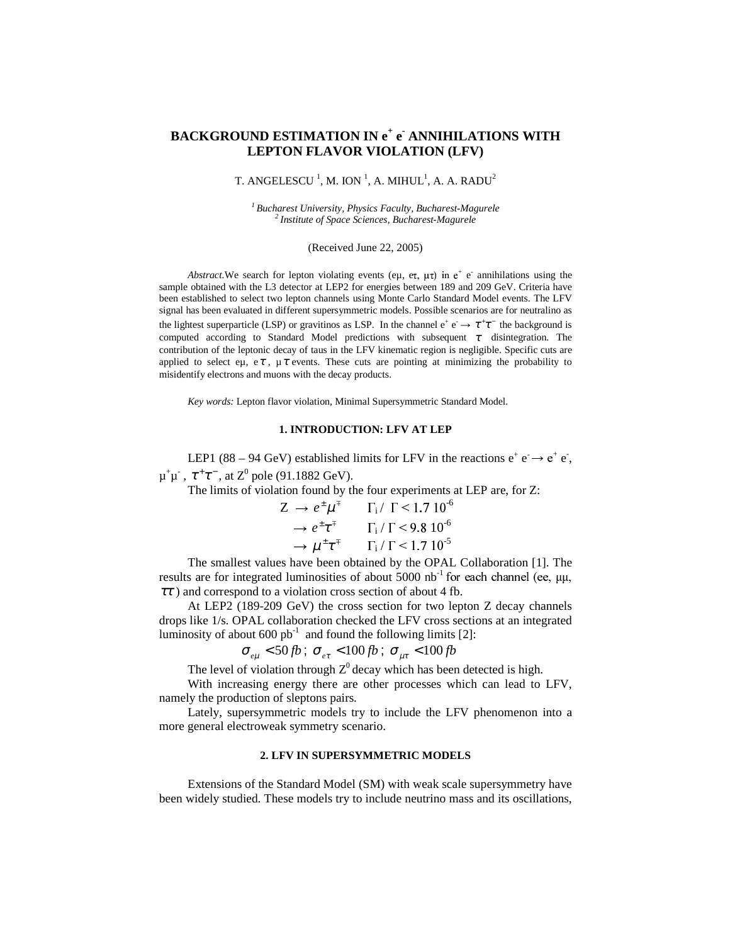# **BACKGROUND ESTIMATION IN e + e - ANNIHILATIONS WITH LEPTON FLAVOR VIOLATION (LFV)**

# T. ANGELESCU  $^1$ , M. ION  $^1$ , A. MIHUL $^1$ , A. A. RADU $^2$

*<sup>1</sup>Bucharest University, Physics Faculty, Bucharest-Magurele <sup>2</sup>Institute of Space Sciences, Bucharest-Magurele*

(Received June 22, 2005)

Abstract. We search for lepton violating events (eµ,  $e\tau$ ,  $\mu\tau$ ) in  $e^+$  e annihilations using the sample obtained with the L3 detector at LEP2 for energies between 189 and 209 GeV. Criteria have been established to select two lepton channels using Monte Carlo Standard Model events. The LFV signal has been evaluated in different supersymmetric models. Possible scenarios are for neutralino as the lightest superparticle (LSP) or gravitinos as LSP. In the channel  $e^+e^- \rightarrow \tau^+\tau^-$  the background is computed according to Standard Model predictions with subsequent  $\tau$  disintegration. The contribution of the leptonic decay of taus in the LFV kinematic region is negligible. Specific cuts are applied to select eµ, eτ,  $\mu \tau$  events. These cuts are pointing at minimizing the probability to misidentify electrons and muons with the decay products.

*Key words:* Lepton flavor violation, Minimal Supersymmetric Standard Model.

# **1. INTRODUCTION: LFV AT LEP**

LEP1 (88 – 94 GeV) established limits for LFV in the reactions  $e^+ e^- \rightarrow e^+ e^-$ ,  $\mu^+\mu^-$ ,  $\tau^+\tau^-$ , at  $Z^0$  pole (91.1882 GeV).

The limits of violation found by the four experiments at LEP are, for Z:

$$
Z \rightarrow e^{\pm} \mu^{\mp} \qquad \Gamma_i / \Gamma < 1.7 \, 10^{-6}
$$
\n
$$
\rightarrow e^{\pm} \tau^{\mp} \qquad \Gamma_i / \Gamma < 9.8 \, 10^{-6}
$$
\n
$$
\rightarrow \mu^{\pm} \tau^{\mp} \qquad \Gamma_i / \Gamma < 1.7 \, 10^{-5}
$$

The smallest values have been obtained by the OPAL Collaboration [1]. The results are for integrated luminosities of about 5000 nb<sup>-1</sup> for each channel (ee,  $\mu\mu$ ,  $\tau\tau$ ) and correspond to a violation cross section of about 4 fb.

At LEP2 (189-209 GeV) the cross section for two lepton Z decay channels drops like 1/s. OPAL collaboration checked the LFV cross sections at an integrated luminosity of about  $600$   $pb^{-1}$  and found the following limits [2]:

$$
\sigma_{e\mu} < 50 \, fb \, ; \, \sigma_{e\tau} < 100 \, fb \, ; \, \sigma_{\mu\tau} < 100 \, fb
$$

The level of violation through  $Z^0$  decay which has been detected is high.

With increasing energy there are other processes which can lead to LFV, namely the production of sleptons pairs.

Lately, supersymmetric models try to include the LFV phenomenon into a more general electroweak symmetry scenario.

### **2. LFV IN SUPERSYMMETRIC MODELS**

Extensions of the Standard Model (SM) with weak scale supersymmetry have been widely studied. These models try to include neutrino mass and its oscillations,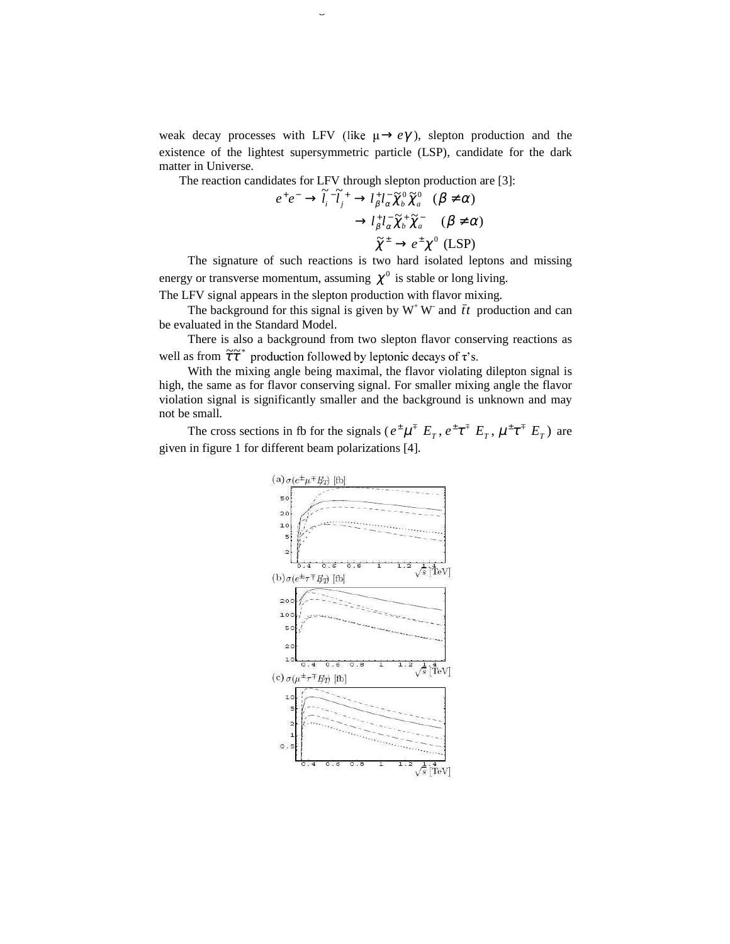weak decay processes with LFV (like  $\mu \rightarrow e\gamma$ ), slepton production and the existence of the lightest supersymmetric particle (LSP), candidate for the dark matter in Universe.

The reaction candidates for LFV through slepton production are [3]:<br> $e^+e^- \rightarrow \tilde{l}^- \tilde{l}^+ \rightarrow l^+l^- \tilde{\mathbf{v}}^0 \tilde{\mathbf{v}}^0$  ( $\mathbf{R} + \mathbf{\alpha}$ )

383 Background estimation in e

$$
e^+e^- \to \tilde{l}_i^{\ \top}\tilde{l}_j^{\ \top} \to l_\beta^{\ \top}l_\alpha^{\ \top}\tilde{\chi}_b^0\tilde{\chi}_a^0 \quad (\beta \neq \alpha)
$$

$$
\to l_\beta^{\ \top}l_\alpha^{\ \top}\tilde{\chi}_b^{\ \top}\tilde{\chi}_a^{\ \top} \quad (\beta \neq \alpha)
$$

$$
\tilde{\chi}^{\pm} \to e^{\pm}\chi^0 \quad (\text{LSP})
$$

The signature of such reactions is two hard isolated leptons and missing energy or transverse momentum, assuming  $\chi^0$  is stable or long living. The LFV signal appears in the slepton production with flavor mixing.

The background for this signal is given by  $W^+W^-$  and  $\bar{t}t$  production and can be evaluated in the Standard Model.

There is also a background from two slepton flavor conserving reactions as well as from  $\tilde{\tau} \tilde{\tau}^*$  production followed by leptonic decays of  $\tau$ 's.

With the mixing angle being maximal, the flavor violating dilepton signal is high, the same as for flavor conserving signal. For smaller mixing angle the flavor violation signal is significantly smaller and the background is unknown and may not be small.

The cross sections in fb for the signals ( $e^{\pm}\mu^{\mp} E_T$ ,  $e^{\pm}\tau^{\mp} E_T$ ,  $\mu^{\pm}\tau^{\mp} E_T$ ) are given in figure 1 for different beam polarizations [4].

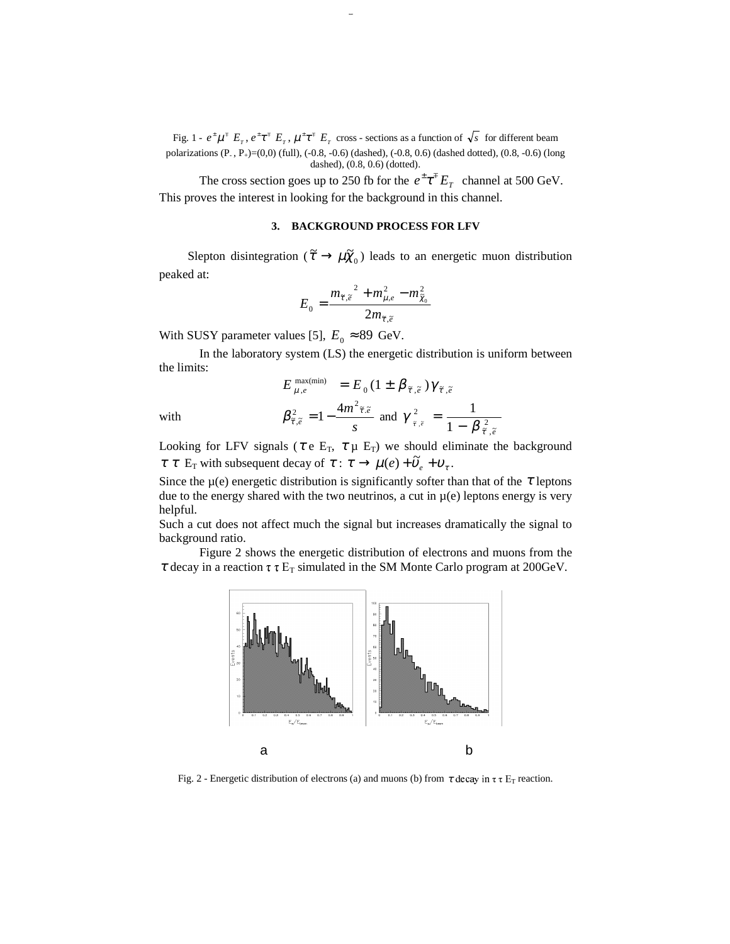Fig. 1 -  $e^{\pm} \mu^{\mp} E_{\tau}$ ,  $e^{\pm} \tau^{\mp} E_{\tau}$ ,  $\mu^{\pm} \tau^{\mp} E_{\tau}$  cross - sections as a function of  $\sqrt{s}$  for different beam polarizations (P- , P+)=(0,0) (full), (-0.8, -0.6) (dashed), (-0.8, 0.6) (dashed dotted), (0.8, -0.6) (long dashed), (0.8, 0.6) (dotted).

The cross section goes up to 250 fb for the  $e^{\pm} \tau^{\mp} E_{T}$  channel at 500 GeV. This proves the interest in looking for the background in this channel.

#### **3. BACKGROUND PROCESS FOR LFV**

Slepton disintegration ( $\tilde{\tau} \to \mu \tilde{\chi}_0$ ) leads to an energetic muon distribution peaked at:

$$
E_0 = \frac{m_{\tilde{\tau},\tilde{e}}^2 + m_{\mu,e}^2 - m_{\tilde{\chi}_0}^2}{2m_{\tilde{\tau},\tilde{e}}}
$$

With SUSY parameter values [5],  $E_0 \approx 89$  GeV.

In the laboratory system (LS) the energetic distribution is uniform between the limits:

$$
E_{\mu,e}^{\max(\min)} = E_0 (1 \pm \beta_{\tilde{\tau},\tilde{e}}) \gamma_{\tilde{\tau},\tilde{e}}
$$

with

$$
\beta_{\tilde{\tau},\tilde{e}}^2 = 1 - \frac{4m^2 \tilde{\tau} \tilde{e}}{s} \text{ and } \gamma_{\tilde{\tau},\tilde{e}}^2 = \frac{1}{1 - \beta_{\tilde{\tau},\tilde{e}}^2}
$$

Looking for LFV signals ( $\tau \in E_T$ ,  $\tau \mu E_T$ ) we should eliminate the background  $\tau \tau \to \mu(e) + \tilde{\nu}_e + \nu_\tau$ .

Since the  $\mu$ (e) energetic distribution is significantly softer than that of the  $\tau$  leptons due to the energy shared with the two neutrinos, a cut in  $\mu(e)$  leptons energy is very helpful.

Such a cut does not affect much the signal but increases dramatically the signal to background ratio.

Figure 2 shows the energetic distribution of electrons and muons from the  $\tau$  decay in a reaction  $\tau \tau E_T$  simulated in the SM Monte Carlo program at 200GeV.



Fig. 2 - Energetic distribution of electrons (a) and muons (b) from  $\tau$  decay in  $\tau \tau$  E<sub>T</sub> reaction.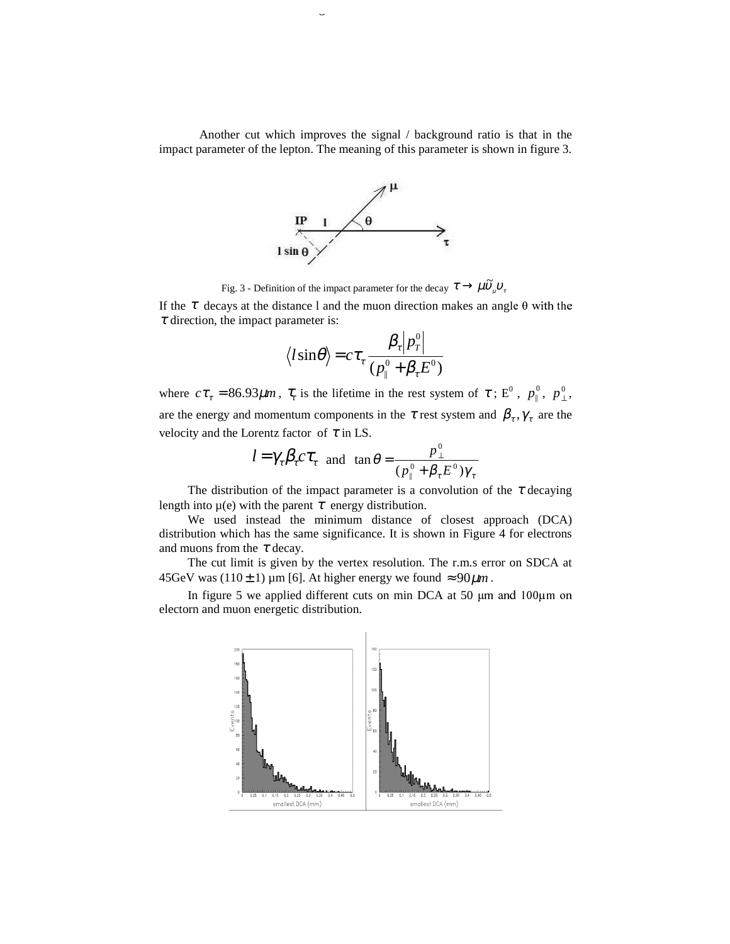Another cut which improves the signal / background ratio is that in the impact parameter of the lepton. The meaning of this parameter is shown in figure 3.

385 Background estimation in e



Fig. 3 - Definition of the impact parameter for the decay  $\tau \to \mu \tilde{\nu}_{\mu} v_{\tau}$ 

If the  $\tau$  decays at the distance 1 and the muon direction makes an angle  $\theta$  with the  $\tau$  direction, the impact parameter is:

$$
\langle l\sin\theta\rangle = c\tau_{\tau} \frac{\beta_{\tau} |p_{\tau}^{0}|}{(p_{\parallel}^{0} + \beta_{\tau} E^{0})}
$$

where  $c\tau_{\tau} = 86.93 \mu m$ ,  $\tau_{\tau}$  is the lifetime in the rest system of  $\tau$ ; E<sup>0</sup>,  $p_{\perp}^0$ ,  $p_{\perp}^0$ , are the energy and momentum components in the  $\tau$  rest system and  $\beta_{\tau}$ ,  $\gamma_{\tau}$  are the velocity and the Lorentz factor of  $\tau$  in LS.

$$
l = \gamma_{\tau} \beta_{\tau} c \tau_{\tau}
$$
 and  $\tan \theta = \frac{p_{\perp}^{0}}{(p_{\parallel}^{0} + \beta_{\tau} E^{0}) \gamma_{\tau}}$ 

The distribution of the impact parameter is a convolution of the  $\tau$  decaying length into  $\mu(e)$  with the parent  $\tau$  energy distribution.

We used instead the minimum distance of closest approach (DCA) distribution which has the same significance. It is shown in Figure 4 for electrons and muons from the  $\tau$  decay.

The cut limit is given by the vertex resolution. The r.m.s error on SDCA at 45GeV was (110 ± 1) µm [6]. At higher energy we found  $\approx 90 \mu m$ .

In figure 5 we applied different cuts on min DCA at 50  $\mu$ m and 100 $\mu$ m on electorn and muon energetic distribution.

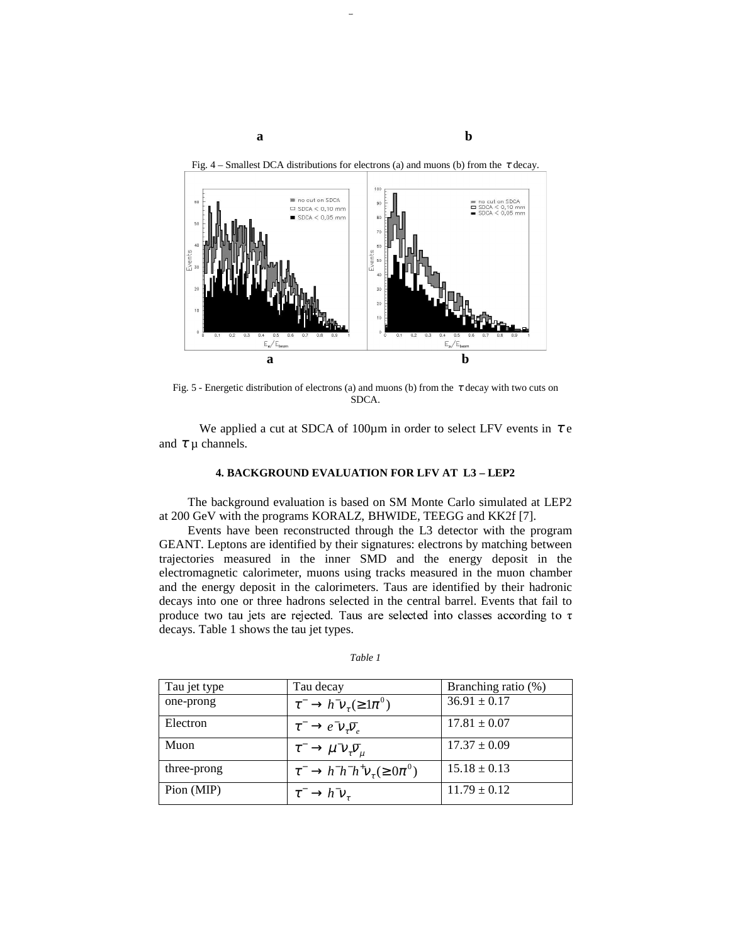

Fig. 5 - Energetic distribution of electrons (a) and muons (b) from the  $\tau$  decay with two cuts on SDCA.

We applied a cut at SDCA of 100 $\mu$ m in order to select LFV events in  $\tau$  e and  $\tau$   $\mu$  channels.

# **4. BACKGROUND EVALUATION FOR LFV AT L3 – LEP2**

The background evaluation is based on SM Monte Carlo simulated at LEP2 at 200 GeV with the programs KORALZ, BHWIDE, TEEGG and KK2f [7].

Events have been reconstructed through the L3 detector with the program GEANT. Leptons are identified by their signatures: electrons by matching between trajectories measured in the inner SMD and the energy deposit in the electromagnetic calorimeter, muons using tracks measured in the muon chamber and the energy deposit in the calorimeters. Taus are identified by their hadronic decays into one or three hadrons selected in the central barrel. Events that fail to produce two tau jets are rejected. Taus are selected into classes according to  $\tau$ decays. Table 1 shows the tau jet types.

| Tau jet type | Tau decay                                                | Branching ratio (%) |
|--------------|----------------------------------------------------------|---------------------|
| one-prong    | $\tau^- \to h^- v_\tau (\geq 1 \pi^0)$                   | $36.91 \pm 0.17$    |
| Electron     | $\tau^- \to e^- \nu_\tau \overline{\nu}_e$               | $17.81 \pm 0.07$    |
| Muon         | $\tau^- \to \mu^- \nu_\tau \overline{\nu}_\mu$           | $17.37 \pm 0.09$    |
| three-prong  | $\tau^- \rightarrow h^- h^- h^+ \nu_\tau (\geq 0 \pi^0)$ | $15.18 \pm 0.13$    |
| Pion (MIP)   | $\tau^- \rightarrow h^- \nu_\tau$                        | $11.79 \pm 0.12$    |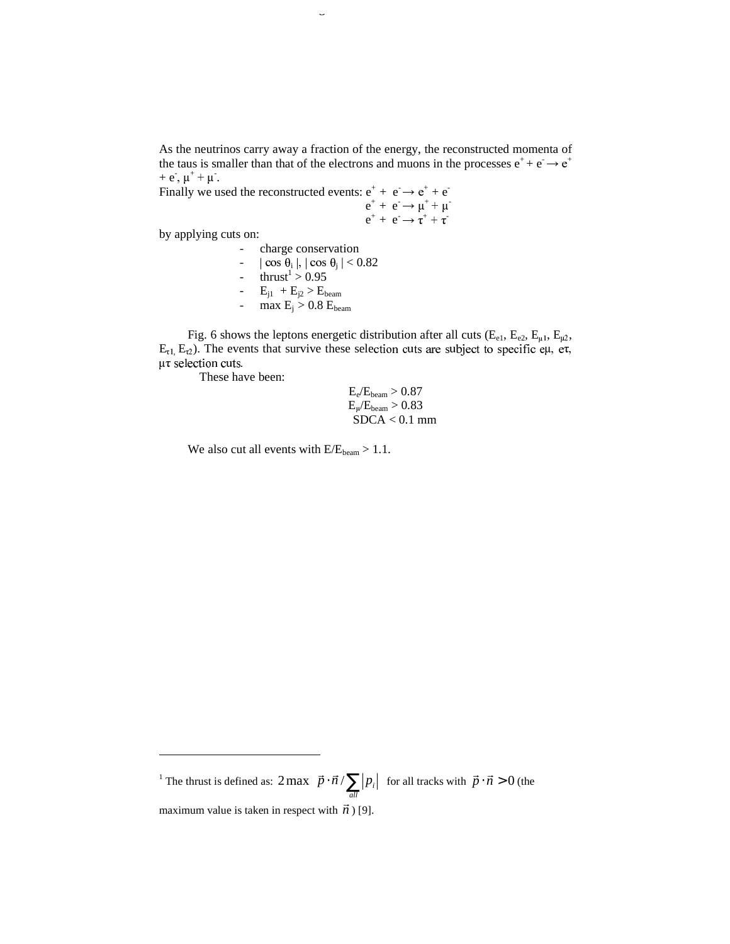As the neutrinos carry away a fraction of the energy, the reconstructed momenta of the taus is smaller than that of the electrons and muons in the processes  $e^+ + e^- \rightarrow e^+$  $+ e^{\dagger}, \mu^+ + \mu^-.$ 

Finally we used the reconstructed events:  $e^+ + e^- \rightarrow e^+ + e^$ e de la construction de la construction de la construction de la construction de la construction de la construction de la construction de la construction de la construction de la construction de la construction de la const  $^+ + e^- \rightarrow \mu^+ + \mu^$  e  $+$  +  $e^- \rightarrow \tau^+ + \tau^-$ 

by applying cuts on:

-

charge conservation

387 Background estimation in e

 $-$  | cos  $\theta_i$  |, | cos  $\theta_j$  | < 0.82 - thrust<sup>1</sup> > 0.95 -  $E_{j1} + E_{j2} > E_{beam}$ - max  $E_j > 0.8$   $E_{\text{beam}}$ 

Fig. 6 shows the leptons energetic distribution after all cuts ( $E_{e1}$ ,  $E_{e2}$ ,  $E_{\mu1}$ ,  $E_{\mu2}$ ,  $E_{\tau1}$ ,  $E_{\tau2}$ ). The events that survive these selection cuts are subject to specific eµ, e $\tau$ ,  $\mu\tau$  selection cuts.

These have been:

 $E_e/E_{beam} > 0.87$  $E_{\mu}/E_{beam}$   $> 0.83$  $SDCA < 0.1$  mm

We also cut all events with  $E/E_{beam} > 1.1$ .

<sup>1</sup> The thrust is defined as:  $2 \max |\vec{p} \cdot \vec{n}/\sum |p_i|$  $\overline{1}$  $\left(\vec{p}\cdot\vec{n}/\sum|p_i|\right)^2$ l  $2 \max \left( \vec{p} \cdot \vec{n} / \sum_{all} |p_i| \right)$  for all tracks with  $\vec{p} \cdot \vec{n} > 0$  (the maximum value is taken in respect with  $\vec{n}$ ) [9].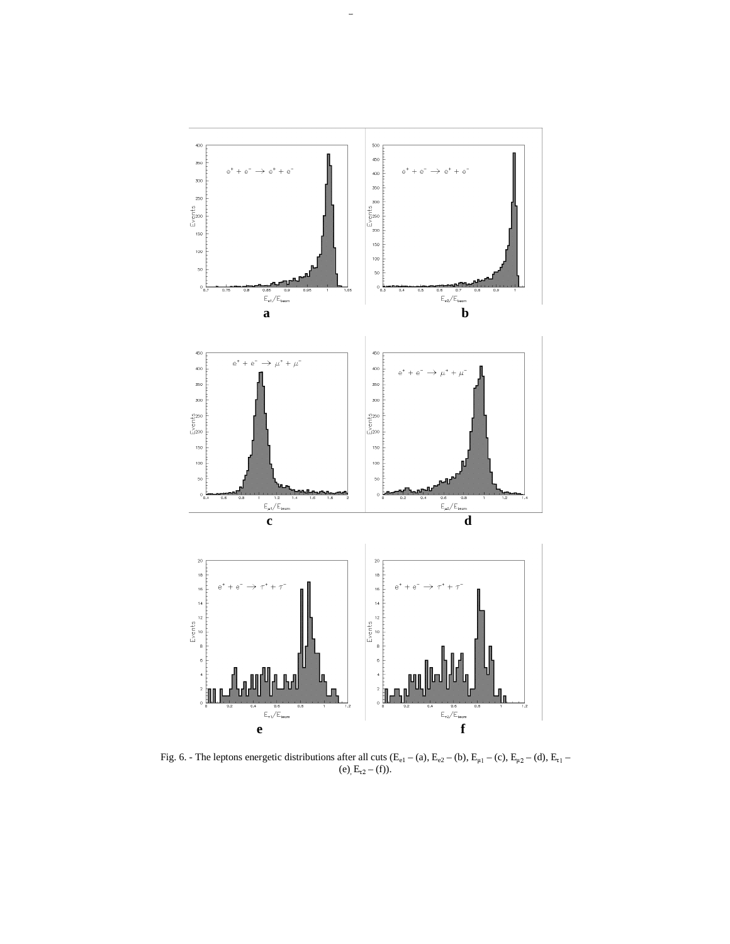

Fig. 6. - The leptons energetic distributions after all cuts  $(E_{el} - (a), E_{e2} - (b), E_{\mu l} - (c), E_{\mu 2} - (d), E_{\tau l} -$ (e),  $E_{t2} - (f)$ ).